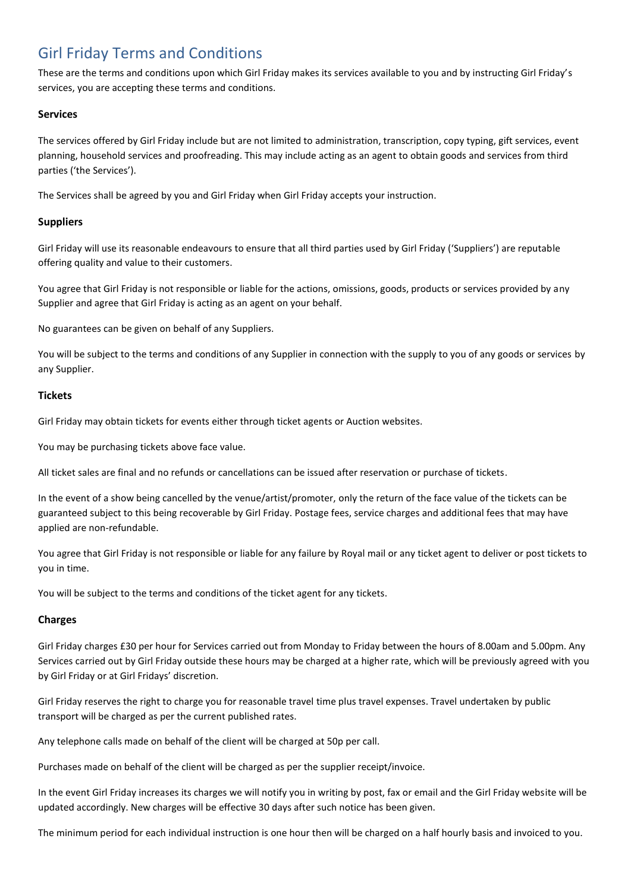# Girl Friday Terms and Conditions

These are the terms and conditions upon which Girl Friday makes its services available to you and by instructing Girl Friday's services, you are accepting these terms and conditions.

# **Services**

The services offered by Girl Friday include but are not limited to administration, transcription, copy typing, gift services, event planning, household services and proofreading. This may include acting as an agent to obtain goods and services from third parties ('the Services').

The Services shall be agreed by you and Girl Friday when Girl Friday accepts your instruction.

#### **Suppliers**

Girl Friday will use its reasonable endeavours to ensure that all third parties used by Girl Friday ('Suppliers') are reputable offering quality and value to their customers.

You agree that Girl Friday is not responsible or liable for the actions, omissions, goods, products or services provided by any Supplier and agree that Girl Friday is acting as an agent on your behalf.

No guarantees can be given on behalf of any Suppliers.

You will be subject to the terms and conditions of any Supplier in connection with the supply to you of any goods or services by any Supplier.

#### **Tickets**

Girl Friday may obtain tickets for events either through ticket agents or Auction websites.

You may be purchasing tickets above face value.

All ticket sales are final and no refunds or cancellations can be issued after reservation or purchase of tickets.

In the event of a show being cancelled by the venue/artist/promoter, only the return of the face value of the tickets can be guaranteed subject to this being recoverable by Girl Friday. Postage fees, service charges and additional fees that may have applied are non-refundable.

You agree that Girl Friday is not responsible or liable for any failure by Royal mail or any ticket agent to deliver or post tickets to you in time.

You will be subject to the terms and conditions of the ticket agent for any tickets.

# **Charges**

Girl Friday charges £30 per hour for Services carried out from Monday to Friday between the hours of 8.00am and 5.00pm. Any Services carried out by Girl Friday outside these hours may be charged at a higher rate, which will be previously agreed with you by Girl Friday or at Girl Fridays' discretion.

Girl Friday reserves the right to charge you for reasonable travel time plus travel expenses. Travel undertaken by public transport will be charged as per the current published rates.

Any telephone calls made on behalf of the client will be charged at 50p per call.

Purchases made on behalf of the client will be charged as per the supplier receipt/invoice.

In the event Girl Friday increases its charges we will notify you in writing by post, fax or email and the Girl Friday website will be updated accordingly. New charges will be effective 30 days after such notice has been given.

The minimum period for each individual instruction is one hour then will be charged on a half hourly basis and invoiced to you.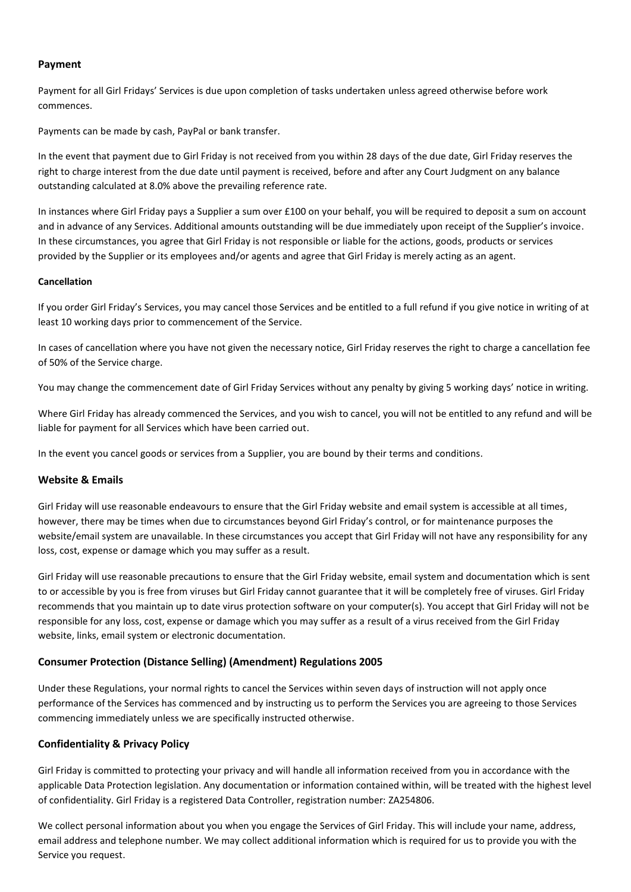#### **Payment**

Payment for all Girl Fridays' Services is due upon completion of tasks undertaken unless agreed otherwise before work commences.

Payments can be made by cash, PayPal or bank transfer.

In the event that payment due to Girl Friday is not received from you within 28 days of the due date, Girl Friday reserves the right to charge interest from the due date until payment is received, before and after any Court Judgment on any balance outstanding calculated at 8.0% above the prevailing reference rate.

In instances where Girl Friday pays a Supplier a sum over £100 on your behalf, you will be required to deposit a sum on account and in advance of any Services. Additional amounts outstanding will be due immediately upon receipt of the Supplier's invoice. In these circumstances, you agree that Girl Friday is not responsible or liable for the actions, goods, products or services provided by the Supplier or its employees and/or agents and agree that Girl Friday is merely acting as an agent.

#### **Cancellation**

If you order Girl Friday's Services, you may cancel those Services and be entitled to a full refund if you give notice in writing of at least 10 working days prior to commencement of the Service.

In cases of cancellation where you have not given the necessary notice, Girl Friday reserves the right to charge a cancellation fee of 50% of the Service charge.

You may change the commencement date of Girl Friday Services without any penalty by giving 5 working days' notice in writing.

Where Girl Friday has already commenced the Services, and you wish to cancel, you will not be entitled to any refund and will be liable for payment for all Services which have been carried out.

In the event you cancel goods or services from a Supplier, you are bound by their terms and conditions.

# **Website & Emails**

Girl Friday will use reasonable endeavours to ensure that the Girl Friday website and email system is accessible at all times, however, there may be times when due to circumstances beyond Girl Friday's control, or for maintenance purposes the website/email system are unavailable. In these circumstances you accept that Girl Friday will not have any responsibility for any loss, cost, expense or damage which you may suffer as a result.

Girl Friday will use reasonable precautions to ensure that the Girl Friday website, email system and documentation which is sent to or accessible by you is free from viruses but Girl Friday cannot guarantee that it will be completely free of viruses. Girl Friday recommends that you maintain up to date virus protection software on your computer(s). You accept that Girl Friday will not be responsible for any loss, cost, expense or damage which you may suffer as a result of a virus received from the Girl Friday website, links, email system or electronic documentation.

# **Consumer Protection (Distance Selling) (Amendment) Regulations 2005**

Under these Regulations, your normal rights to cancel the Services within seven days of instruction will not apply once performance of the Services has commenced and by instructing us to perform the Services you are agreeing to those Services commencing immediately unless we are specifically instructed otherwise.

# **Confidentiality & Privacy Policy**

Girl Friday is committed to protecting your privacy and will handle all information received from you in accordance with the applicable Data Protection legislation. Any documentation or information contained within, will be treated with the highest level of confidentiality. Girl Friday is a registered Data Controller, registration number: ZA254806.

We collect personal information about you when you engage the Services of Girl Friday. This will include your name, address, email address and telephone number. We may collect additional information which is required for us to provide you with the Service you request.